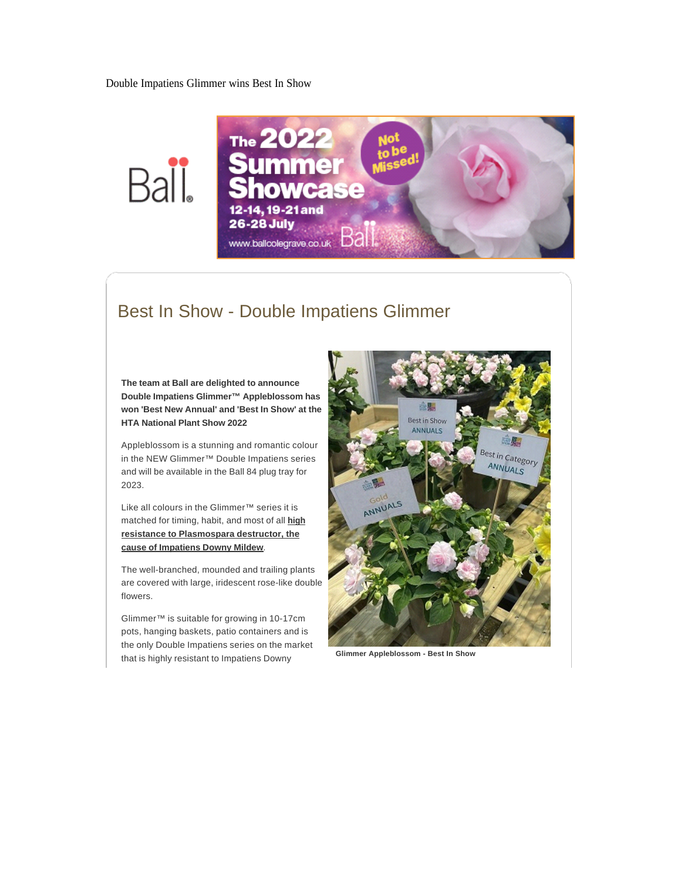Double Impatiens Glimmer wins Best In Show





## Best In Show - Double Impatiens Glimmer

**The team at Ball are delighted to announce Double Impatiens Glimmer™ Appleblossom has won 'Best New Annual' and 'Best In Show' at the HTA National Plant Show 2022**

Appleblossom is a stunning and romantic colour in the NEW Glimmer™ Double Impatiens series and will be available in the Ball 84 plug tray for 2023.

Like all colours in the Glimmer™ series it is matched for timing, habit, and most of all **high resistance to Plasmospara destructor, the cause of Impatiens Downy Mildew**.

The well-branched, mounded and trailing plants are covered with large, iridescent rose-like double flowers.

Glimmer™ is suitable for growing in 10-17cm pots, hanging baskets, patio containers and is the only Double Impatiens series on the market that is highly resistant to Impatiens Downy



**Glimmer Appleblossom - Best In Show**